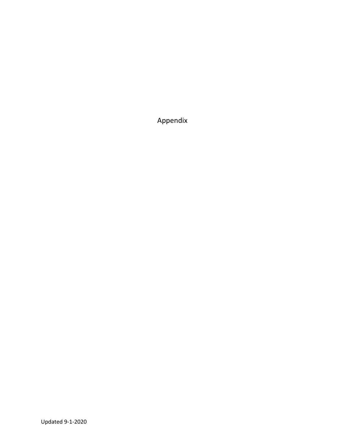Appendix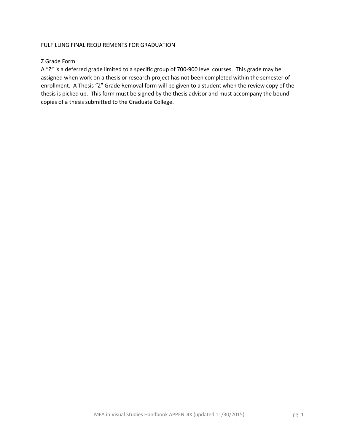# FULFILLING FINAL REQUIREMENTS FOR GRADUATION

# Z Grade Form

A "Z" is a deferred grade limited to a specific group of 700-900 level courses. This grade may be assigned when work on a thesis or research project has not been completed within the semester of enrollment. A Thesis "Z" Grade Removal form will be given to a student when the review copy of the thesis is picked up. This form must be signed by the thesis advisor and must accompany the bound copies of a thesis submitted to the Graduate College.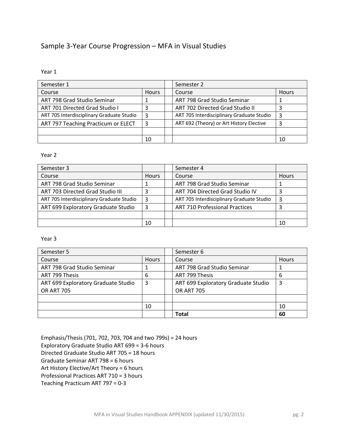# Sample 3-Year Course Progression – MFA in Visual Studies

Year 1

| Semester 1                                |    |  | Semester 2                                |              |  |
|-------------------------------------------|----|--|-------------------------------------------|--------------|--|
| Course<br><b>Hours</b>                    |    |  | Course                                    | <b>Hours</b> |  |
| ART 798 Grad Studio Seminar               |    |  | ART 798 Grad Studio Seminar               |              |  |
| ART 701 Directed Grad Studio I            |    |  | ART 702 Directed Grad Studio II           |              |  |
| ART 705 Interdisciplinary Graduate Studio | 3  |  | ART 705 Interdisciplinary Graduate Studio | 3            |  |
| ART 797 Teaching Practicum or ELECT       | 3  |  | ART 692 (Theory) or Art History Elective  | 3            |  |
|                                           |    |  |                                           |              |  |
|                                           | 10 |  |                                           | 10           |  |

## Year 2

| Semester 3                                |              | Semester 4                                |              |
|-------------------------------------------|--------------|-------------------------------------------|--------------|
| Course                                    | <b>Hours</b> | Course                                    | <b>Hours</b> |
| ART 798 Grad Studio Seminar               |              | ART 798 Grad Studio Seminar               |              |
| ART 703 Directed Grad Studio III          | 3            | ART 704 Directed Grad Studio IV           |              |
| ART 705 Interdisciplinary Graduate Studio | 3            | ART 705 Interdisciplinary Graduate Studio | 3            |
| ART 699 Exploratory Graduate Studio       | 3            | <b>ART 710 Professional Practices</b>     |              |
|                                           |              |                                           |              |
|                                           | 10           |                                           | 10           |

## Year 3

| Semester 5                               |    |  | Semester 6                          |              |
|------------------------------------------|----|--|-------------------------------------|--------------|
| Hours<br>Course                          |    |  | Course                              | <b>Hours</b> |
| ART 798 Grad Studio Seminar              |    |  | ART 798 Grad Studio Seminar         |              |
| ART 799 Thesis<br>6                      |    |  | ART 799 Thesis                      | 6            |
| ART 699 Exploratory Graduate Studio<br>3 |    |  | ART 699 Exploratory Graduate Studio | 3            |
| <b>OR ART 705</b>                        |    |  | <b>OR ART 705</b>                   |              |
|                                          |    |  |                                     |              |
|                                          | 10 |  |                                     | 10           |
|                                          |    |  | <b>Total</b>                        | 60           |

Emphasis/Thesis (701, 702, 703, 704 and two 799s) = 24 hours Exploratory Graduate Studio ART 699 = 3-6 hours Directed Graduate Studio ART 705 = 18 hours Graduate Seminar ART 798 = 6 hours Art History Elective/Art Theory = 6 hours Professional Practices ART 710 = 3 hours Teaching Practicum ART 797 = 0-3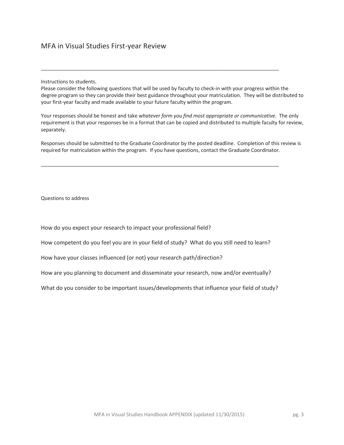Instructions to students.

Please consider the following questions that will be used by faculty to check-in with your progress within the degree program so they can provide their best guidance throughout your matriculation. They will be distributed to your first-year faculty and made available to your future faculty within the program.

\_\_\_\_\_\_\_\_\_\_\_\_\_\_\_\_\_\_\_\_\_\_\_\_\_\_\_\_\_\_\_\_\_\_\_\_\_\_\_\_\_\_\_\_\_\_\_\_\_\_\_\_\_\_\_\_\_\_\_\_\_\_\_\_\_\_\_\_\_\_\_\_\_\_\_\_\_\_\_\_\_\_\_\_\_

Your responses should be honest and take *whatever form you find most appropriate or communicative*. The only requirement is that your responses be in a format that can be copied and distributed to multiple faculty for review, separately.

Responses should be submitted to the Graduate Coordinator by the posted deadline. Completion of this review is required for matriculation within the program. If you have questions, contact the Graduate Coordinator.

\_\_\_\_\_\_\_\_\_\_\_\_\_\_\_\_\_\_\_\_\_\_\_\_\_\_\_\_\_\_\_\_\_\_\_\_\_\_\_\_\_\_\_\_\_\_\_\_\_\_\_\_\_\_\_\_\_\_\_\_\_\_\_\_\_\_\_\_\_\_\_\_\_\_\_\_\_\_\_\_\_\_\_\_\_

Questions to address

How do you expect your research to impact your professional field?

How competent do you feel you are in your field of study? What do you still need to learn?

How have your classes influenced (or not) your research path/direction?

How are you planning to document and disseminate your research, now and/or eventually?

What do you consider to be important issues/developments that influence your field of study?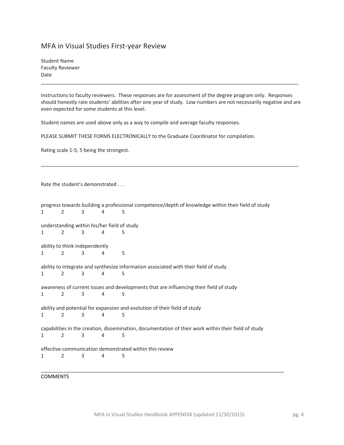# MFA in Visual Studies First-year Review

Student Name Faculty Reviewer Date

Instructions to faculty reviewers. These responses are for assessment of the degree program only. Responses should honestly rate students' abilities after one year of study. Low numbers are not necessarily negative and are even expected for some students at this level.

\_\_\_\_\_\_\_\_\_\_\_\_\_\_\_\_\_\_\_\_\_\_\_\_\_\_\_\_\_\_\_\_\_\_\_\_\_\_\_\_\_\_\_\_\_\_\_\_\_\_\_\_\_\_\_\_\_\_\_\_\_\_\_\_\_\_\_\_\_\_\_\_\_\_\_\_\_\_\_\_\_\_\_\_\_\_\_\_\_\_\_\_

\_\_\_\_\_\_\_\_\_\_\_\_\_\_\_\_\_\_\_\_\_\_\_\_\_\_\_\_\_\_\_\_\_\_\_\_\_\_\_\_\_\_\_\_\_\_\_\_\_\_\_\_\_\_\_\_\_\_\_\_\_\_\_\_\_\_\_\_\_\_\_\_\_\_\_\_\_\_\_\_\_\_\_\_\_\_\_\_\_\_\_\_

Student names are used above only as a way to compile and average faculty responses.

PLEASE SUBMIT THESE FORMS ELECTRONICALLY to the Graduate Coordinator for compilation.

Rating scale 1-5; 5 being the strongest.

Rate the student's demonstrated . . .

| progress towards building a professional competence/depth of knowledge within their field of study   |                                |   |   |                                                                                        |  |  |  |  |
|------------------------------------------------------------------------------------------------------|--------------------------------|---|---|----------------------------------------------------------------------------------------|--|--|--|--|
| $\mathbf{1}$                                                                                         | 2                              | 3 | 4 | 5                                                                                      |  |  |  |  |
| understanding within his/her field of study                                                          |                                |   |   |                                                                                        |  |  |  |  |
| $\mathbf{1}$                                                                                         | 2                              | 3 | 4 | 5                                                                                      |  |  |  |  |
|                                                                                                      | ability to think independently |   |   |                                                                                        |  |  |  |  |
| $\mathbf{1}$                                                                                         | 2                              | 3 | 4 | 5                                                                                      |  |  |  |  |
|                                                                                                      |                                |   |   | ability to integrate and synthesize information associated with their field of study   |  |  |  |  |
| $\mathbf{1}$                                                                                         | 2                              | 3 | 4 | 5                                                                                      |  |  |  |  |
|                                                                                                      |                                |   |   | awareness of current issues and developments that are influencing their field of study |  |  |  |  |
| $\mathbf{1}$                                                                                         | $\mathcal{P}$                  | 3 | 4 | 5                                                                                      |  |  |  |  |
|                                                                                                      |                                |   |   | ability and potential for expansion and evolution of their field of study              |  |  |  |  |
| $\mathbf{1}$                                                                                         | 2                              | 3 | 4 | 5                                                                                      |  |  |  |  |
| capabilities in the creation, dissemination, documentation of their work within their field of study |                                |   |   |                                                                                        |  |  |  |  |
| $\mathbf{1}$                                                                                         | $\mathfrak{D}$                 | 3 | 4 | 5                                                                                      |  |  |  |  |
| effective communication demonstrated within this review                                              |                                |   |   |                                                                                        |  |  |  |  |
| 1                                                                                                    | 2                              | 3 | 4 | 5                                                                                      |  |  |  |  |
|                                                                                                      |                                |   |   |                                                                                        |  |  |  |  |

## **COMMENTS**

\_\_\_\_\_\_\_\_\_\_\_\_\_\_\_\_\_\_\_\_\_\_\_\_\_\_\_\_\_\_\_\_\_\_\_\_\_\_\_\_\_\_\_\_\_\_\_\_\_\_\_\_\_\_\_\_\_\_\_\_\_\_\_\_\_\_\_\_\_\_\_\_\_\_\_\_\_\_\_\_\_\_\_\_\_\_\_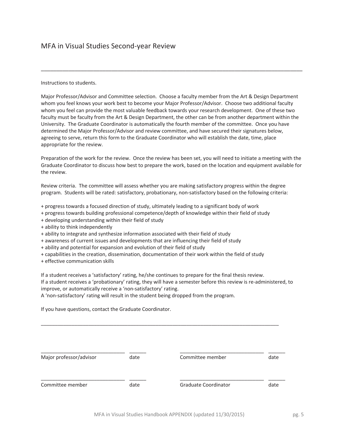Instructions to students.

Major Professor/Advisor and Committee selection. Choose a faculty member from the Art & Design Department whom you feel knows your work best to become your Major Professor/Advisor. Choose two additional faculty whom you feel can provide the most valuable feedback towards your research development. One of these two faculty must be faculty from the Art & Design Department, the other can be from another department within the University. The Graduate Coordinator is automatically the fourth member of the committee. Once you have determined the Major Professor/Advisor and review committee, and have secured their signatures below, agreeing to serve, return this form to the Graduate Coordinator who will establish the date, time, place appropriate for the review.

\_\_\_\_\_\_\_\_\_\_\_\_\_\_\_\_\_\_\_\_\_\_\_\_\_\_\_\_\_\_\_\_\_\_\_\_\_\_\_\_\_\_\_\_\_\_\_\_\_\_\_\_\_\_\_\_\_\_\_\_\_\_\_\_\_\_\_\_\_\_\_\_\_\_\_\_\_\_\_\_\_\_\_\_\_

Preparation of the work for the review. Once the review has been set, you will need to initiate a meeting with the Graduate Coordinator to discuss how best to prepare the work, based on the location and equipment available for the review.

Review criteria. The committee will assess whether you are making satisfactory progress within the degree program. Students will be rated: satisfactory, probationary, non-satisfactory based on the following criteria:

- + progress towards a focused direction of study, ultimately leading to a significant body of work
- + progress towards building professional competence/depth of knowledge within their field of study
- + developing understanding within their field of study
- + ability to think independently
- + ability to integrate and synthesize information associated with their field of study
- + awareness of current issues and developments that are influencing their field of study
- + ability and potential for expansion and evolution of their field of study
- + capabilities in the creation, dissemination, documentation of their work within the field of study
- + effective communication skills

If a student receives a 'satisfactory' rating, he/she continues to prepare for the final thesis review.

If a student receives a 'probationary' rating, they will have a semester before this review is re-administered, to improve, or automatically receive a 'non-satisfactory' rating.

A 'non-satisfactory' rating will result in the student being dropped from the program.

If you have questions, contact the Graduate Coordinator.

| Major professor/advisor | date | Committee member     | date |
|-------------------------|------|----------------------|------|
| Committee member        | date | Graduate Coordinator | date |

\_\_\_\_\_\_\_\_\_\_\_\_\_\_\_\_\_\_\_\_\_\_\_\_\_\_\_\_\_\_\_\_\_\_\_\_\_\_\_\_\_\_\_\_\_\_\_\_\_\_\_\_\_\_\_\_\_\_\_\_\_\_\_\_\_\_\_\_\_\_\_\_\_\_\_\_\_\_\_\_\_\_\_\_\_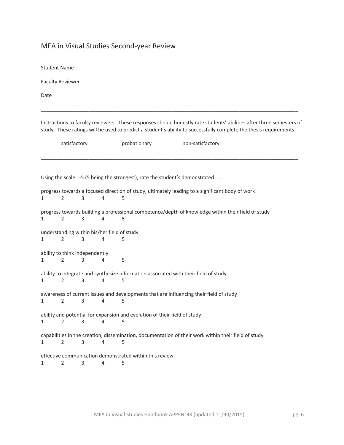# MFA in Visual Studies Second-year Review

| <b>Student Name</b> |                                                  |   |   |                                                                                                                                                                                                                                            |
|---------------------|--------------------------------------------------|---|---|--------------------------------------------------------------------------------------------------------------------------------------------------------------------------------------------------------------------------------------------|
|                     | <b>Faculty Reviewer</b>                          |   |   |                                                                                                                                                                                                                                            |
| Date                |                                                  |   |   |                                                                                                                                                                                                                                            |
|                     |                                                  |   |   | Instructions to faculty reviewers. These responses should honestly rate students' abilities after three semesters of<br>study. These ratings will be used to predict a student's ability to successfully complete the thesis requirements. |
|                     | satisfactory                                     |   |   | probationary<br>non-satisfactory                                                                                                                                                                                                           |
|                     |                                                  |   |   | Using the scale 1-5 (5 being the strongest), rate the student's demonstrated                                                                                                                                                               |
|                     |                                                  |   |   | progress towards a focused direction of study, ultimately leading to a significant body of work                                                                                                                                            |
| 1                   | 2                                                | 3 | 4 | 5                                                                                                                                                                                                                                          |
| 1                   | $\overline{2}$                                   | 3 | 4 | progress towards building a professional competence/depth of knowledge within their field of study<br>5                                                                                                                                    |
| 1                   | 2                                                | 3 | 4 | understanding within his/her field of study<br>5                                                                                                                                                                                           |
| 1                   | ability to think independently<br>$\overline{2}$ | 3 | 4 | 5                                                                                                                                                                                                                                          |
| 1                   | $\overline{2}$                                   | 3 | 4 | ability to integrate and synthesize information associated with their field of study<br>5                                                                                                                                                  |
| 1                   | $\overline{2}$                                   | 3 | 4 | awareness of current issues and developments that are influencing their field of study<br>5                                                                                                                                                |
| 1                   | $\overline{2}$                                   | 3 | 4 | ability and potential for expansion and evolution of their field of study<br>5                                                                                                                                                             |
| 1                   | $\overline{2}$                                   | 3 | 4 | capabilities in the creation, dissemination, documentation of their work within their field of study<br>5                                                                                                                                  |
| 1                   | $\overline{2}$                                   | 3 | 4 | effective communication demonstrated within this review<br>5                                                                                                                                                                               |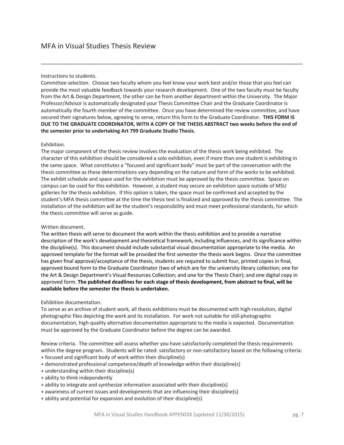### Instructions to students.

Committee selection. Choose two faculty whom you feel know your work best and/or those that you feel can provide the most valuable feedback towards your research development. One of the two faculty must be faculty from the Art & Design Department, the other can be from another department within the University. The Major Professor/Advisor is automatically designated your Thesis Committee Chair and the Graduate Coordinator is automatically the fourth member of the committee. Once you have determined the review committee, and have secured their signatures below, agreeing to serve, return this form to the Graduate Coordinator. **THIS FORM IS DUE TO THE GRADUATE COORDINATOR, WITH A COPY OF THE THESIS ABSTRACT two weeks before the end of the semester prior to undertaking Art 799 Graduate Studio Thesis.**

\_\_\_\_\_\_\_\_\_\_\_\_\_\_\_\_\_\_\_\_\_\_\_\_\_\_\_\_\_\_\_\_\_\_\_\_\_\_\_\_\_\_\_\_\_\_\_\_\_\_\_\_\_\_\_\_\_\_\_\_\_\_\_\_\_\_\_\_\_\_\_\_\_\_\_\_\_\_\_\_\_\_\_\_\_

### Exhibition.

The major component of the thesis review involves the evaluation of the thesis work being exhibited. The character of this exhibition should be considered a solo exhibition, even if more than one student is exhibiting in the same space. What constitutes a "focused and significant body" must be part of the conversation with the thesis committee as these determinations vary depending on the nature and form of the works to be exhibited. The exhibit schedule and space used for the exhibition must be approved by the thesis committee. Space on campus can be used for this exhibition. However, a student may secure an exhibition space outside of MSU galleries for the thesis exhibition. If this option is taken, the space must be confirmed and accepted by the student's MFA thesis committee at the time the thesis text is finalized and approved by the thesis committee. The installation of the exhibition will be the student's responsibility and must meet professional standards, for which the thesis committee will serve as guide.

### Written document.

The written thesis will serve to document the work within the thesis exhibition and to provide a narrative description of the work's development and theoretical framework, including influences, and its significance within the discipline(s). This document should include substantial visual documentation appropriate to the media. An approved template for the format will be provided the first semester the thesis work begins. Once the committee has given final approval/acceptance of the thesis, students are required to submit four, printed copies in final, approved bound form to the Graduate Coordinator (two of which are for the university library collection; one for the Art & Design Department's Visual Resources Collection; and one for the Thesis Chair); and one digital copy in approved form. **The published deadlines for each stage of thesis development, from abstract to final, will be available before the semester the thesis is undertaken.**

### Exhibition documentation.

To serve as an archive of student work, all thesis exhibitions must be documented with high-resolution, digital photographic files depicting the work and its installation. For work not suitable for still-photographic documentation, high-quality alternative documentation appropriate to the media is expected. Documentation must be approved by the Graduate Coordinator before the degree can be awarded.

Review criteria. The committee will assess whether you have satisfactorily completed the thesis requirements within the degree program. Students will be rated: satisfactory or non-satisfactory based on the following criteria:

- + focused and significant body of work within their discipline(s)
- + demonstrated professional competence/depth of knowledge within their discipline(s)
- + understanding within their discipline(s)
- + ability to think independently
- + ability to integrate and synthesize information associated with their discipline(s)
- + awareness of current issues and developments that are influencing their discipline(s)
- + ability and potential for expansion and evolution of their discipline(s)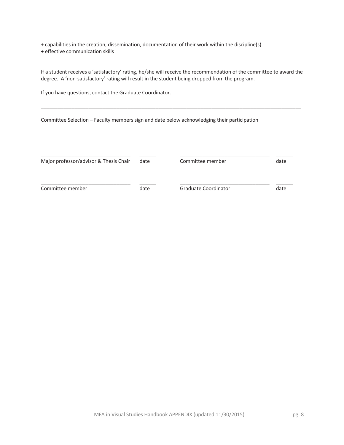+ capabilities in the creation, dissemination, documentation of their work within the discipline(s) + effective communication skills

If a student receives a 'satisfactory' rating, he/she will receive the recommendation of the committee to award the degree. A 'non-satisfactory' rating will result in the student being dropped from the program.

\_\_\_\_\_\_\_\_\_\_\_\_\_\_\_\_\_\_\_\_\_\_\_\_\_\_\_\_\_\_\_\_\_\_\_\_\_\_\_\_\_\_\_\_\_\_\_\_\_\_\_\_\_\_\_\_\_\_\_\_\_\_\_\_\_\_\_\_\_\_\_\_\_\_\_\_\_\_\_\_\_\_\_\_\_\_\_\_\_\_\_\_\_

If you have questions, contact the Graduate Coordinator.

Committee Selection – Faculty members sign and date below acknowledging their participation

| Major professor/advisor & Thesis Chair | date | Committee member     | date |
|----------------------------------------|------|----------------------|------|
| Committee member                       | date | Graduate Coordinator | date |